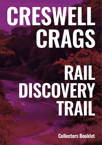# **CRESWELL CRAGS**

# **RAIL DISCOVERY TRAIL**

**Collectors Booklet**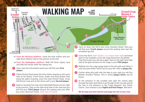

- → **From the Worksop platform:** Leave the train station and turn right down Station road to the junction at the end.
- **From the Nottingham platform:** Walk left down Gypsy Lane and take the tunnel under the railway line.
- **1** Here, near the Information board you will find your **First plaque**.
- **2** Follow Elmton Road away from the station staying on the same side as the library. Cross Dover, Queen and King Streets then using the zebra crossing, cross the main Elmton Road. Cross Old School Lane and on the stone wall is your **Second plaque**.
- **3** Head on towards the main A616 Mansfield Road and turn right at the junction. Stay on the right hand side of the road and you will find your **Third plaque** around the seating area just after you cross Laburnum Close. *(with care of course)*
- **5** Cross the A616 *(with caution, it is a busy main road)* and head back to the footpath on the old Crags Road from the B6042. Past the houses you will see a gate. Here on the right hand side wall at the gate entrance to the Crags is your **Fifth plaque.**
- **6** Walking into the crags gorge keep to the left path and follow it until you pass Robin Hood Cave to your left. Here is **plaque Six.**
- **7** Further along this path with the lake to your right you will find Mother Grundy's Parlour. This is where **plaque Seven** can be found.
- **8** At the entrance to the wooded area take the central path through the trees and follow it up through to the car park and all the way to the entrance to the Crags Museum and Visitor Centre. Just outside is your **Eighth and final Plaque**. *Well done*.

*We do hope you have had fun and enjoy the rest of your visit.*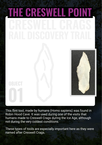# **01 THE CRESWELL POINT**

This flint tool, made by humans (Homo sapiens) was found in Robin Hood Cave. It was used during one of the visits that humans made to Creswell Crags during the Ice Age, although not during the very coldest conditions.

These types of tools are especially important here as they were named after Creswell Crags.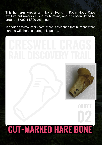This humerus (upper arm bone) found in Robin Hood Cave exhibits cut marks caused by humans, and has been dated to around 15,000-14,300 years ago.

In addition to mountain hare, there is evidence that humans were hunting wild horses during this period.



**OBJECT**

## **02 CUT-MARKED HARE BONE**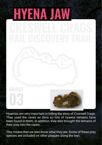# **HYENA JAW**

Hyaenas are very important in telling the story of Creswell Crags. They used the caves as dens so lots of hyaena remains have been found in them. In addition, they also brought the remains of their prey into the caves.

This means that we also know what they ate. Some of these prey species are included on other plaques along the trail.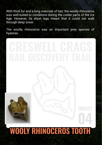With thick fur and a long overcoat of hair, the woolly rhinoceros was well-suited to conditions during the colder parts of the Ice Age. However, its short legs meant that it could not walk through deep snow.

The woolly rhinoceros was an important prey species of hyaenas.



## **04 WOOLY RHINOCEROS TOOTH**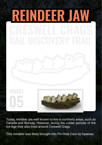

Today, reindeer are well known to live in northerly areas, such as Canada and Norway. However, during the colder periods of the Ice Age they also lived around Creswell Crags.

This reindeer was likely brought into Pin Hole Cave by hyaenas.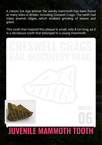A classic Ice Age animal, the woolly mammoth has been found at many sites in Britain, including Creswell Crags. The teeth had many enamel ridges, which enabled grinding of leaves and grass.

This tooth that inspired this plaque is small, only 8 cm long, as it is a deciduous tooth that belonged to a young mammoth.

# **06 JUVENILE MAMMOTH TOOTH**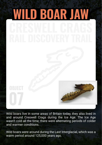

Wild boars live in some areas of Britain today, they also lived in and around Creswell Crags during the Ice Age. The Ice Age wasn't cold all the time; there were alternating periods of colder and warmer conditions.

Wild boars were around during the Last Interglacial, which was a warm period around 125,000 years ago.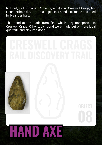Not only did humans (*Homo sapiens*) visit Creswell Crags, but Neanderthals did, too. This object is a hand axe, made and used by Neanderthals.

This hand axe is made from flint, which they transported to Creswell Crags. Other tools found were made out of more local quartzite and clay ironstone.



# **HAND AXE**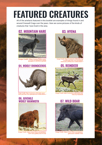### **FEATURED CREATURES**

All of the artefacts featured in this booklet are examples of things found in and around Creswell Crags over the years. Here are some pictures of the kinds of creatures that have lived in the area.

### **02. MOUNTAIN HARE 03. HYENA**



**Image Credit: https://www.flickr.com/ people/51009047@N08**

### **04. WOOLY RHINOCEROS**



**Image Credit: https://commons.wikimedia.org/w/ index.php?title=User:ДиБгд&action=edit&redlink=1**

### **06. JUVENILE WOOLY MAMMOTH**



**Image Credit: https://www.flickr.com/photos/ 33917831@N00/235197328**



**Image Credit: https://commons.wikimedia.org/ w/index.php?title=User:Rushikesh\_ Deshmukh\_DOP&action=edit&redlink=1**

### **05. REINDEER**



**Inttps://commons.wikimedia.** wiki/Hear:Nattfo

### **07. WILD BOAR**



**Image Credit: https://www.flickr.com/photos/ jpbennett1/5689877064**